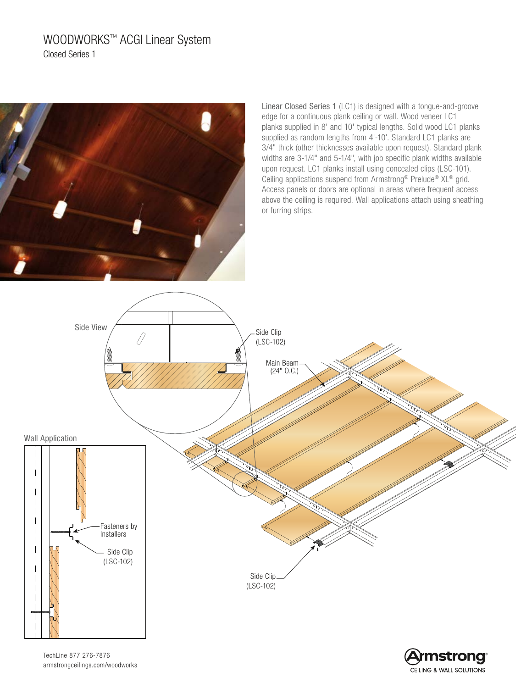# WOODWORKS™ ACGI Linear System Closed Series 1



Linear Closed Series 1 (LC1) is designed with a tongue-and-groove edge for a continuous plank ceiling or wall. Wood veneer LC1 planks supplied in 8' and 10' typical lengths. Solid wood LC1 planks supplied as random lengths from 4'-10'. Standard LC1 planks are 3/4" thick (other thicknesses available upon request). Standard plank widths are 3-1/4" and 5-1/4", with job specific plank widths available upon request. LC1 planks install using concealed clips (LSC-101). Ceiling applications suspend from Armstrong® Prelude® XL® grid. Access panels or doors are optional in areas where frequent access above the ceiling is required. Wall applications attach using sheathing or furring strips.

> **mstrong CEILING & WALL SOLUTIONS**



TechLine 877 276-7876 armstrongceilings.com/woodworks